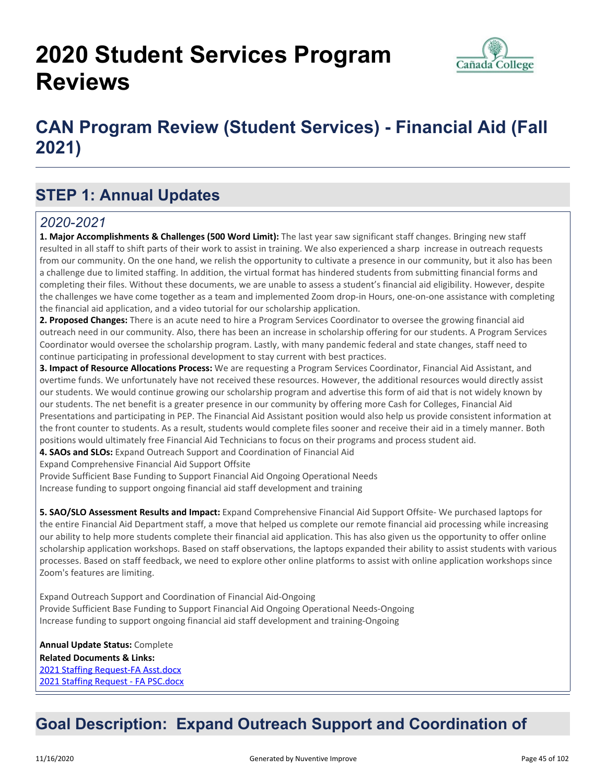# **2020 Student Services Program Reviews**



# **CAN Program Review (Student Services) - Financial Aid (Fall 2021)**

# **STEP 1: Annual Updates**

## *2020-2021*

**1. Major Accomplishments & Challenges (500 Word Limit):** The last year saw significant staff changes. Bringing new staff resulted in all staff to shift parts of their work to assist in training. We also experienced a sharp increase in outreach requests from our community. On the one hand, we relish the opportunity to cultivate a presence in our community, but it also has been a challenge due to limited staffing. In addition, the virtual format has hindered students from submitting financial forms and completing their files. Without these documents, we are unable to assess a student's financial aid eligibility. However, despite the challenges we have come together as a team and implemented Zoom drop-in Hours, one-on-one assistance with completing the financial aid application, and a video tutorial for our scholarship application.

**2. Proposed Changes:** There is an acute need to hire a Program Services Coordinator to oversee the growing financial aid outreach need in our community. Also, there has been an increase in scholarship offering for our students. A Program Services Coordinator would oversee the scholarship program. Lastly, with many pandemic federal and state changes, staff need to continue participating in professional development to stay current with best practices.

**3. Impact of Resource Allocations Process:** We are requesting a Program Services Coordinator, Financial Aid Assistant, and overtime funds. We unfortunately have not received these resources. However, the additional resources would directly assist our students. We would continue growing our scholarship program and advertise this form of aid that is not widely known by our students. The net benefit is a greater presence in our community by offering more Cash for Colleges, Financial Aid Presentations and participating in PEP. The Financial Aid Assistant position would also help us provide consistent information at the front counter to students. As a result, students would complete files sooner and receive their aid in a timely manner. Both positions would ultimately free Financial Aid Technicians to focus on their programs and process student aid.

**4. SAOs and SLOs:** Expand Outreach Support and Coordination of Financial Aid

Expand Comprehensive Financial Aid Support Offsite

Provide Sufficient Base Funding to Support Financial Aid Ongoing Operational Needs Increase funding to support ongoing financial aid staff development and training

**5. SAO/SLO Assessment Results and Impact:** Expand Comprehensive Financial Aid Support Offsite- We purchased laptops for the entire Financial Aid Department staff, a move that helped us complete our remote financial aid processing while increasing our ability to help more students complete their financial aid application. This has also given us the opportunity to offer online scholarship application workshops. Based on staff observations, the laptops expanded their ability to assist students with various processes. Based on staff feedback, we need to explore other online platforms to assist with online application workshops since Zoom's features are limiting.

Expand Outreach Support and Coordination of Financial Aid-Ongoing Provide Sufficient Base Funding to Support Financial Aid Ongoing Operational Needs-Ongoing Increase funding to support ongoing financial aid staff development and training-Ongoing

**Annual Update Status:** Complete **Related Documents & Links:** [2021 Staffing Request-FA Asst.docx](https://sanmateo.improve.nuventive.com:443/tracdat/viewDocument?y=5WtqoMps6ZqX) [2021 Staffing Request - FA PSC.docx](https://sanmateo.improve.nuventive.com:443/tracdat/viewDocument?y=8Bz9nsNSkSk4)

# **Goal Description: Expand Outreach Support and Coordination of**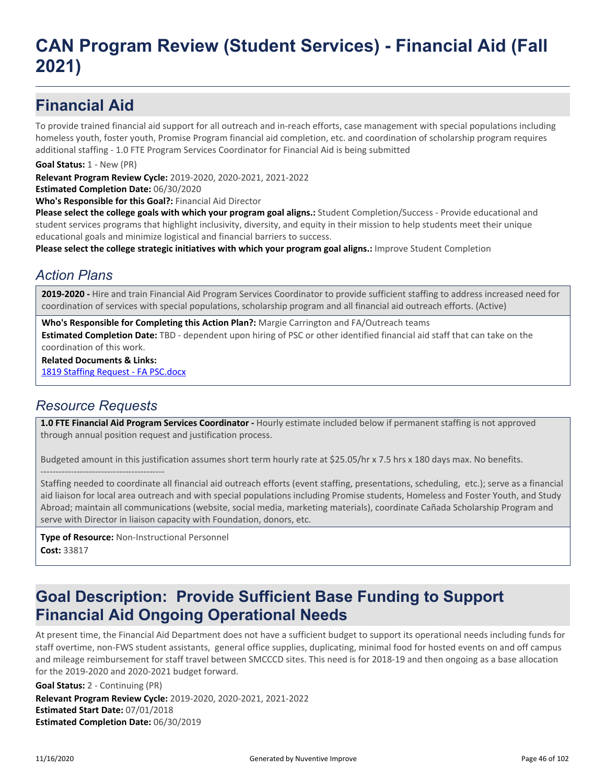# **Financial Aid**

To provide trained financial aid support for all outreach and in-reach efforts, case management with special populations including homeless youth, foster youth, Promise Program financial aid completion, etc. and coordination of scholarship program requires additional staffing - 1.0 FTE Program Services Coordinator for Financial Aid is being submitted

**Goal Status:** 1 - New (PR)

**Relevant Program Review Cycle:** 2019-2020, 2020-2021, 2021-2022

**Estimated Completion Date:** 06/30/2020

**Who's Responsible for this Goal?:** Financial Aid Director

**Please select the college goals with which your program goal aligns.:** Student Completion/Success - Provide educational and student services programs that highlight inclusivity, diversity, and equity in their mission to help students meet their unique educational goals and minimize logistical and financial barriers to success.

**Please select the college strategic initiatives with which your program goal aligns.:** Improve Student Completion

## *Action Plans*

**2019-2020 -** Hire and train Financial Aid Program Services Coordinator to provide sufficient staffing to address increased need for coordination of services with special populations, scholarship program and all financial aid outreach efforts. (Active)

**Who's Responsible for Completing this Action Plan?:** Margie Carrington and FA/Outreach teams

**Estimated Completion Date:** TBD - dependent upon hiring of PSC or other identified financial aid staff that can take on the coordination of this work.

**Related Documents & Links:**

[1819 Staffing Request - FA PSC.docx](https://sanmateo.improve.nuventive.com:443/tracdat/viewDocument?y=qX5cjoaGFIsp)

### *Resource Requests*

-----------------------------------------

**1.0 FTE Financial Aid Program Services Coordinator -** Hourly estimate included below if permanent staffing is not approved through annual position request and justification process.

Budgeted amount in this justification assumes short term hourly rate at \$25.05/hr x 7.5 hrs x 180 days max. No benefits.

Staffing needed to coordinate all financial aid outreach efforts (event staffing, presentations, scheduling, etc.); serve as a financial aid liaison for local area outreach and with special populations including Promise students, Homeless and Foster Youth, and Study Abroad; maintain all communications (website, social media, marketing materials), coordinate Cañada Scholarship Program and serve with Director in liaison capacity with Foundation, donors, etc.

**Type of Resource:** Non-Instructional Personnel **Cost:** 33817

# **Goal Description: Provide Sufficient Base Funding to Support Financial Aid Ongoing Operational Needs**

At present time, the Financial Aid Department does not have a sufficient budget to support its operational needs including funds for staff overtime, non-FWS student assistants, general office supplies, duplicating, minimal food for hosted events on and off campus and mileage reimbursement for staff travel between SMCCCD sites. This need is for 2018-19 and then ongoing as a base allocation for the 2019-2020 and 2020-2021 budget forward.

**Relevant Program Review Cycle:** 2019-2020, 2020-2021, 2021-2022 **Estimated Start Date:** 07/01/2018 **Estimated Completion Date:** 06/30/2019 **Goal Status:** 2 - Continuing (PR)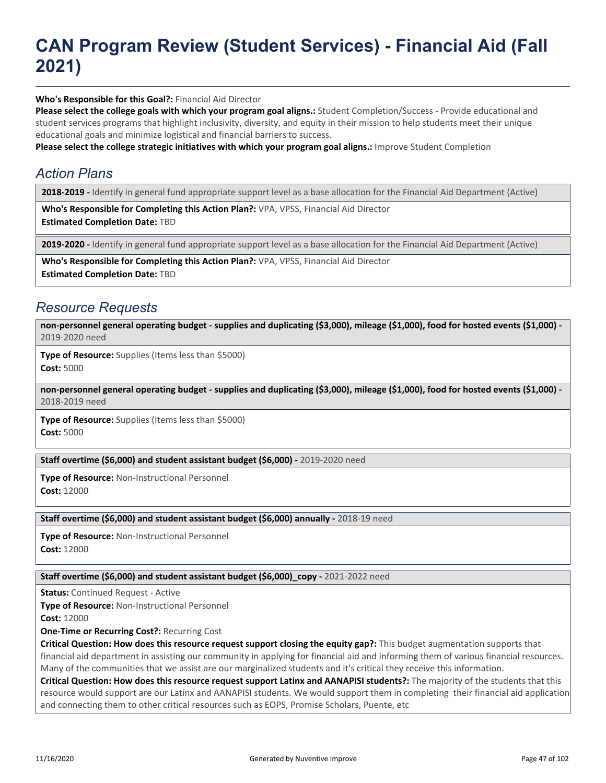**Who's Responsible for this Goal?:** Financial Aid Director

**Please select the college goals with which your program goal aligns.:** Student Completion/Success - Provide educational and student services programs that highlight inclusivity, diversity, and equity in their mission to help students meet their unique educational goals and minimize logistical and financial barriers to success.

**Please select the college strategic initiatives with which your program goal aligns.:** Improve Student Completion

## *Action Plans*

**2018-2019 -** Identify in general fund appropriate support level as a base allocation for the Financial Aid Department (Active)

**Who's Responsible for Completing this Action Plan?:** VPA, VPSS, Financial Aid Director **Estimated Completion Date:** TBD

**2019-2020 -** Identify in general fund appropriate support level as a base allocation for the Financial Aid Department (Active)

**Who's Responsible for Completing this Action Plan?:** VPA, VPSS, Financial Aid Director **Estimated Completion Date:** TBD

#### *Resource Requests*

**non-personnel general operating budget - supplies and duplicating (\$3,000), mileage (\$1,000), food for hosted events (\$1,000) -** 2019-2020 need

**Type of Resource:** Supplies (Items less than \$5000) **Cost:** 5000

**non-personnel general operating budget - supplies and duplicating (\$3,000), mileage (\$1,000), food for hosted events (\$1,000) -** 2018-2019 need

**Type of Resource:** Supplies (Items less than \$5000) **Cost:** 5000

#### **Staff overtime (\$6,000) and student assistant budget (\$6,000) -** 2019-2020 need

**Type of Resource:** Non-Instructional Personnel **Cost:** 12000

#### **Staff overtime (\$6,000) and student assistant budget (\$6,000) annually - 2018-19 need**

**Type of Resource:** Non-Instructional Personnel **Cost:** 12000

#### **Staff overtime (\$6,000) and student assistant budget (\$6,000)\_copy -** 2021-2022 need

**Status:** Continued Request - Active

**Type of Resource:** Non-Instructional Personnel

**Cost:** 12000

#### **One-Time or Recurring Cost?:** Recurring Cost

**Critical Question: How does this resource request support closing the equity gap?:** This budget augmentation supports that financial aid department in assisting our community in applying for financial aid and informing them of various financial resources. Many of the communities that we assist are our marginalized students and it's critical they receive this information.

**Critical Question: How does this resource request support Latinx and AANAPISI students?:** The majority of the students that this resource would support are our Latinx and AANAPISI students. We would support them in completing their financial aid application and connecting them to other critical resources such as EOPS, Promise Scholars, Puente, etc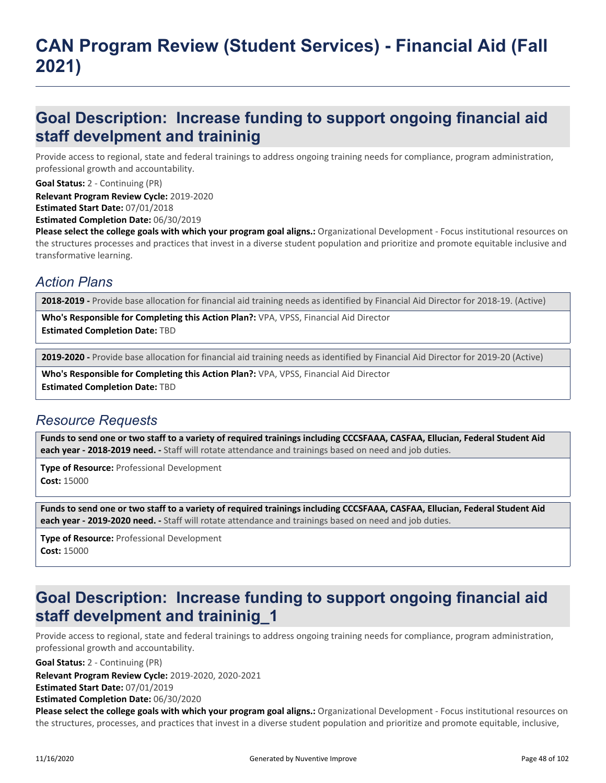## **Goal Description: Increase funding to support ongoing financial aid staff develpment and traininig**

Provide access to regional, state and federal trainings to address ongoing training needs for compliance, program administration, professional growth and accountability.

**Goal Status:** 2 - Continuing (PR)

**Relevant Program Review Cycle:** 2019-2020

**Estimated Start Date:** 07/01/2018

**Estimated Completion Date:** 06/30/2019

**Please select the college goals with which your program goal aligns.:** Organizational Development - Focus institutional resources on the structures processes and practices that invest in a diverse student population and prioritize and promote equitable inclusive and transformative learning.

## *Action Plans*

**2018-2019 -** Provide base allocation for financial aid training needs as identified by Financial Aid Director for 2018-19. (Active)

**Who's Responsible for Completing this Action Plan?:** VPA, VPSS, Financial Aid Director **Estimated Completion Date:** TBD

**2019-2020 -** Provide base allocation for financial aid training needs as identified by Financial Aid Director for 2019-20 (Active)

**Who's Responsible for Completing this Action Plan?:** VPA, VPSS, Financial Aid Director **Estimated Completion Date:** TBD

## *Resource Requests*

**Funds to send one or two staff to a variety of required trainings including CCCSFAAA, CASFAA, Ellucian, Federal Student Aid each year - 2018-2019 need. -** Staff will rotate attendance and trainings based on need and job duties.

**Type of Resource:** Professional Development **Cost:** 15000

**Funds to send one or two staff to a variety of required trainings including CCCSFAAA, CASFAA, Ellucian, Federal Student Aid each year - 2019-2020 need. -** Staff will rotate attendance and trainings based on need and job duties.

**Type of Resource:** Professional Development **Cost:** 15000

# **Goal Description: Increase funding to support ongoing financial aid staff develpment and traininig\_1**

Provide access to regional, state and federal trainings to address ongoing training needs for compliance, program administration, professional growth and accountability.

**Goal Status:** 2 - Continuing (PR)

**Relevant Program Review Cycle:** 2019-2020, 2020-2021

**Estimated Start Date:** 07/01/2019

**Estimated Completion Date:** 06/30/2020

**Please select the college goals with which your program goal aligns.:** Organizational Development - Focus institutional resources on the structures, processes, and practices that invest in a diverse student population and prioritize and promote equitable, inclusive,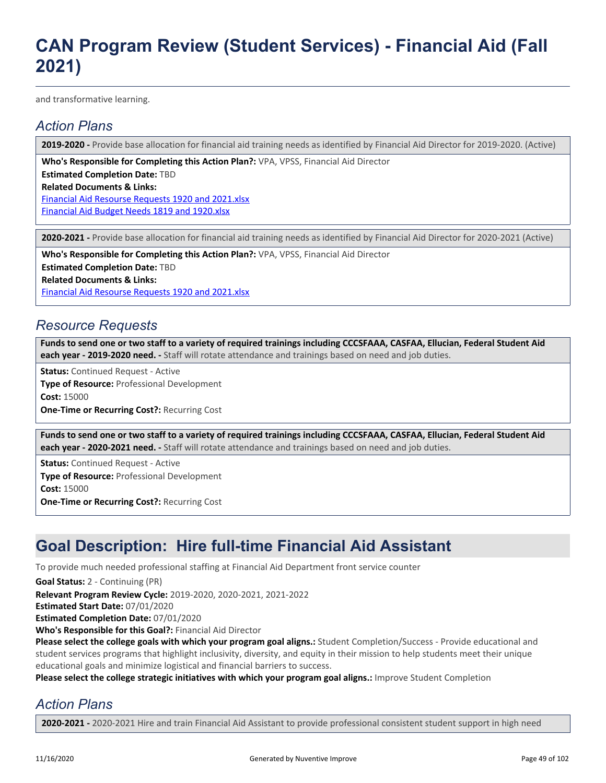and transformative learning.

## *Action Plans*

**2019-2020 -** Provide base allocation for financial aid training needs as identified by Financial Aid Director for 2019-2020. (Active)

**Who's Responsible for Completing this Action Plan?:** VPA, VPSS, Financial Aid Director

**Estimated Completion Date:** TBD

**Related Documents & Links:**

[Financial Aid Resourse Requests 1920 and 2021.xlsx](https://sanmateo.improve.nuventive.com:443/tracdat/viewDocument?y=SCeQPXQt6lEZ) [Financial Aid Budget Needs 1819 and 1920.xlsx](https://sanmateo.improve.nuventive.com:443/tracdat/viewDocument?y=tZvFhfN2mRYf)

**2020-2021 -** Provide base allocation for financial aid training needs as identified by Financial Aid Director for 2020-2021 (Active)

**Who's Responsible for Completing this Action Plan?:** VPA, VPSS, Financial Aid Director

**Estimated Completion Date:** TBD

**Related Documents & Links:**

[Financial Aid Resourse Requests 1920 and 2021.xlsx](https://sanmateo.improve.nuventive.com:443/tracdat/viewDocument?y=SCeQPXQt6lEZ)

## *Resource Requests*

**Funds to send one or two staff to a variety of required trainings including CCCSFAAA, CASFAA, Ellucian, Federal Student Aid each year - 2019-2020 need. -** Staff will rotate attendance and trainings based on need and job duties.

**Status:** Continued Request - Active

**Type of Resource:** Professional Development **Cost:** 15000 **One-Time or Recurring Cost?:** Recurring Cost

**Funds to send one or two staff to a variety of required trainings including CCCSFAAA, CASFAA, Ellucian, Federal Student Aid each year - 2020-2021 need. -** Staff will rotate attendance and trainings based on need and job duties.

**Status:** Continued Request - Active **Type of Resource:** Professional Development **Cost:** 15000 **One-Time or Recurring Cost?:** Recurring Cost

## **Goal Description: Hire full-time Financial Aid Assistant**

To provide much needed professional staffing at Financial Aid Department front service counter

**Goal Status:** 2 - Continuing (PR)

**Relevant Program Review Cycle:** 2019-2020, 2020-2021, 2021-2022

**Estimated Start Date:** 07/01/2020

**Estimated Completion Date:** 07/01/2020

**Who's Responsible for this Goal?:** Financial Aid Director

**Please select the college goals with which your program goal aligns.:** Student Completion/Success - Provide educational and student services programs that highlight inclusivity, diversity, and equity in their mission to help students meet their unique educational goals and minimize logistical and financial barriers to success.

**Please select the college strategic initiatives with which your program goal aligns.:** Improve Student Completion

## *Action Plans*

**2020-2021 -** 2020-2021 Hire and train Financial Aid Assistant to provide professional consistent student support in high need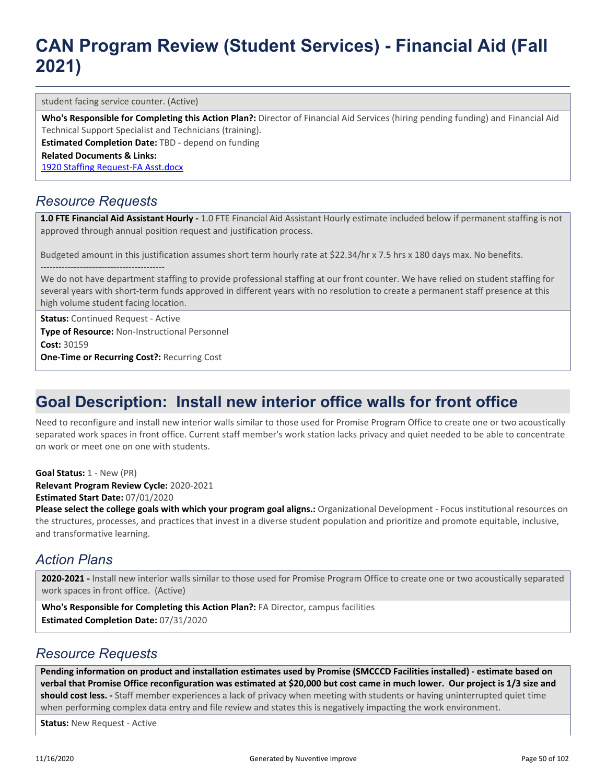student facing service counter. (Active)

**Who's Responsible for Completing this Action Plan?:** Director of Financial Aid Services (hiring pending funding) and Financial Aid Technical Support Specialist and Technicians (training).

**Estimated Completion Date:** TBD - depend on funding

**Related Documents & Links:**

[1920 Staffing Request-FA Asst.docx](https://sanmateo.improve.nuventive.com:443/tracdat/viewDocument?y=kbkNXfTa23x3)

### *Resource Requests*

**1.0 FTE Financial Aid Assistant Hourly -** 1.0 FTE Financial Aid Assistant Hourly estimate included below if permanent staffing is not approved through annual position request and justification process.

Budgeted amount in this justification assumes short term hourly rate at \$22.34/hr x 7.5 hrs x 180 days max. No benefits. -----------------------------------------

We do not have department staffing to provide professional staffing at our front counter. We have relied on student staffing for several years with short-term funds approved in different years with no resolution to create a permanent staff presence at this high volume student facing location.

**Status:** Continued Request - Active **Type of Resource:** Non-Instructional Personnel **Cost:** 30159 **One-Time or Recurring Cost?:** Recurring Cost

# **Goal Description: Install new interior office walls for front office**

Need to reconfigure and install new interior walls similar to those used for Promise Program Office to create one or two acoustically separated work spaces in front office. Current staff member's work station lacks privacy and quiet needed to be able to concentrate on work or meet one on one with students.

**Goal Status:** 1 - New (PR)

**Relevant Program Review Cycle:** 2020-2021 **Estimated Start Date:** 07/01/2020

**Please select the college goals with which your program goal aligns.:** Organizational Development - Focus institutional resources on the structures, processes, and practices that invest in a diverse student population and prioritize and promote equitable, inclusive, and transformative learning.

### *Action Plans*

**2020-2021 -** Install new interior walls similar to those used for Promise Program Office to create one or two acoustically separated work spaces in front office. (Active)

**Who's Responsible for Completing this Action Plan?:** FA Director, campus facilities **Estimated Completion Date:** 07/31/2020

#### *Resource Requests*

**Pending information on product and installation estimates used by Promise (SMCCCD Facilities installed) - estimate based on verbal that Promise Office reconfiguration was estimated at \$20,000 but cost came in much lower. Our project is 1/3 size and should cost less. -** Staff member experiences a lack of privacy when meeting with students or having uninterrupted quiet time when performing complex data entry and file review and states this is negatively impacting the work environment.

**Status:** New Request - Active